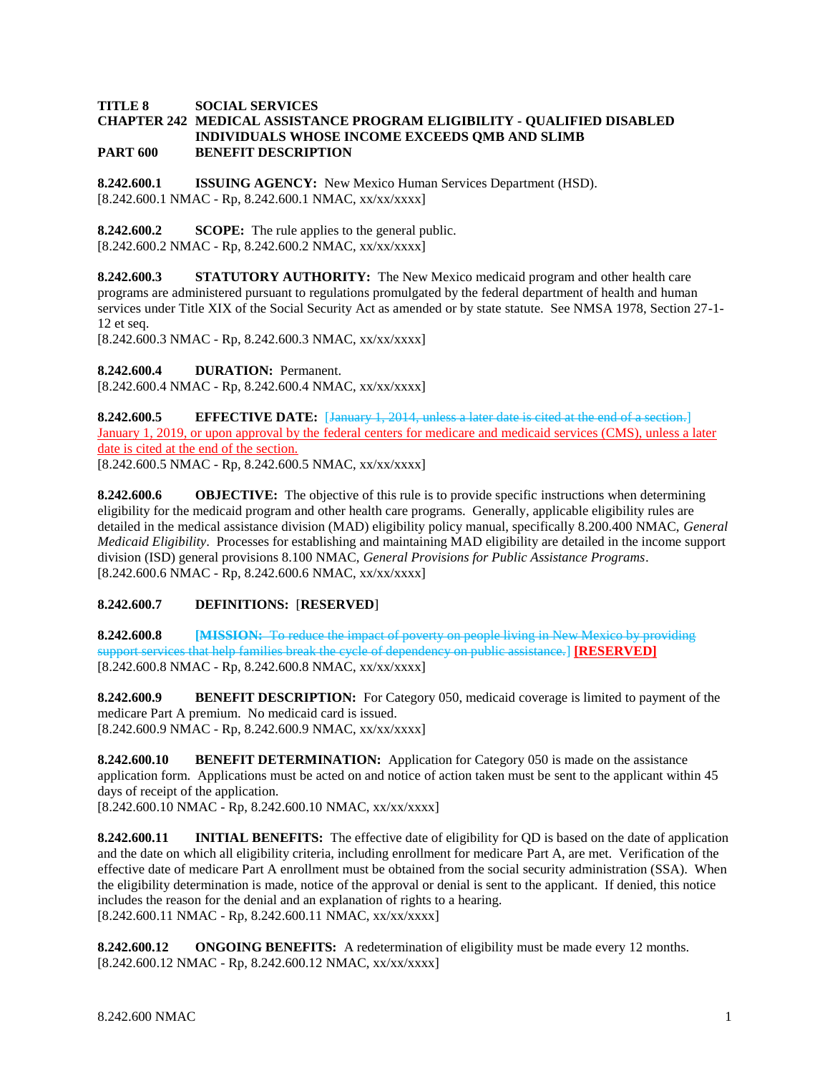## **TITLE 8 SOCIAL SERVICES CHAPTER 242 MEDICAL ASSISTANCE PROGRAM ELIGIBILITY - QUALIFIED DISABLED INDIVIDUALS WHOSE INCOME EXCEEDS QMB AND SLIMB PART 600 BENEFIT DESCRIPTION**

**8.242.600.1 ISSUING AGENCY:** New Mexico Human Services Department (HSD). [8.242.600.1 NMAC - Rp, 8.242.600.1 NMAC, xx/xx/xxxx]

**8.242.600.2 SCOPE:** The rule applies to the general public. [8.242.600.2 NMAC - Rp, 8.242.600.2 NMAC, xx/xx/xxxx]

**8.242.600.3 STATUTORY AUTHORITY:** The New Mexico medicaid program and other health care programs are administered pursuant to regulations promulgated by the federal department of health and human services under Title XIX of the Social Security Act as amended or by state statute. See NMSA 1978, Section 27-1- 12 et seq.

[8.242.600.3 NMAC - Rp, 8.242.600.3 NMAC, xx/xx/xxxx]

**8.242.600.4 DURATION:** Permanent.

[8.242.600.4 NMAC - Rp, 8.242.600.4 NMAC, xx/xx/xxxx]

**8.242.600.5 EFFECTIVE DATE:** [January 1, 2014, unless a later date is cited at the end of a section.] January 1, 2019, or upon approval by the federal centers for medicare and medicaid services (CMS), unless a later date is cited at the end of the section.

[8.242.600.5 NMAC - Rp, 8.242.600.5 NMAC, xx/xx/xxxx]

**8.242.600.6 OBJECTIVE:** The objective of this rule is to provide specific instructions when determining eligibility for the medicaid program and other health care programs. Generally, applicable eligibility rules are detailed in the medical assistance division (MAD) eligibility policy manual, specifically 8.200.400 NMAC, *General Medicaid Eligibility*. Processes for establishing and maintaining MAD eligibility are detailed in the income support division (ISD) general provisions 8.100 NMAC, *General Provisions for Public Assistance Programs*. [8.242.600.6 NMAC - Rp, 8.242.600.6 NMAC, xx/xx/xxxx]

## **8.242.600.7 DEFINITIONS:** [**RESERVED**]

**8.242.600.8 [MISSION:** To reduce the impact of poverty on people living in New Mexico by providing support services that help families break the cycle of dependency on public assistance.] **[RESERVED]** [8.242.600.8 NMAC - Rp, 8.242.600.8 NMAC, xx/xx/xxxx]

**8.242.600.9 BENEFIT DESCRIPTION:** For Category 050, medicaid coverage is limited to payment of the medicare Part A premium. No medicaid card is issued. [8.242.600.9 NMAC - Rp, 8.242.600.9 NMAC, xx/xx/xxxx]

**8.242.600.10 BENEFIT DETERMINATION:** Application for Category 050 is made on the assistance application form. Applications must be acted on and notice of action taken must be sent to the applicant within 45 days of receipt of the application. [8.242.600.10 NMAC - Rp, 8.242.600.10 NMAC, xx/xx/xxxx]

**8.242.600.11 INITIAL BENEFITS:** The effective date of eligibility for QD is based on the date of application and the date on which all eligibility criteria, including enrollment for medicare Part A, are met. Verification of the effective date of medicare Part A enrollment must be obtained from the social security administration (SSA). When the eligibility determination is made, notice of the approval or denial is sent to the applicant. If denied, this notice includes the reason for the denial and an explanation of rights to a hearing. [8.242.600.11 NMAC - Rp, 8.242.600.11 NMAC, xx/xx/xxxx]

**8.242.600.12 ONGOING BENEFITS:** A redetermination of eligibility must be made every 12 months. [8.242.600.12 NMAC - Rp, 8.242.600.12 NMAC, xx/xx/xxxx]